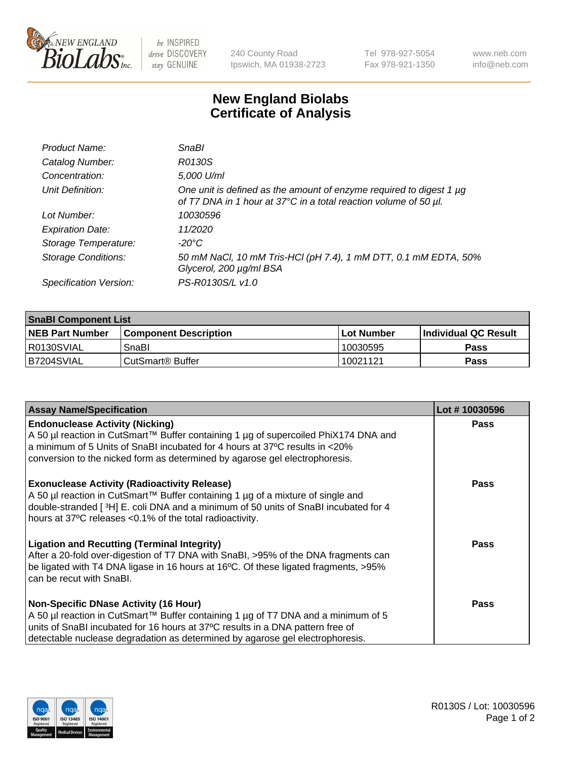

 $be$  INSPIRED drive DISCOVERY stay GENUINE

240 County Road Ipswich, MA 01938-2723 Tel 978-927-5054 Fax 978-921-1350 www.neb.com info@neb.com

## **New England Biolabs Certificate of Analysis**

| Product Name:              | <b>SnaBl</b>                                                                                                                            |
|----------------------------|-----------------------------------------------------------------------------------------------------------------------------------------|
| Catalog Number:            | R0130S                                                                                                                                  |
| Concentration:             | 5,000 U/ml                                                                                                                              |
| Unit Definition:           | One unit is defined as the amount of enzyme required to digest 1 µg<br>of T7 DNA in 1 hour at 37°C in a total reaction volume of 50 µl. |
| Lot Number:                | 10030596                                                                                                                                |
| <b>Expiration Date:</b>    | 11/2020                                                                                                                                 |
| Storage Temperature:       | $-20^{\circ}$ C                                                                                                                         |
| <b>Storage Conditions:</b> | 50 mM NaCl, 10 mM Tris-HCl (pH 7.4), 1 mM DTT, 0.1 mM EDTA, 50%<br>Glycerol, 200 µg/ml BSA                                              |
| Specification Version:     | PS-R0130S/L v1.0                                                                                                                        |

| <b>SnaBI Component List</b> |                         |              |                             |  |
|-----------------------------|-------------------------|--------------|-----------------------------|--|
| <b>NEB Part Number</b>      | l Component Description | l Lot Number | <b>Individual QC Result</b> |  |
| R0130SVIAL                  | SnaBl                   | 10030595     | Pass                        |  |
| B7204SVIAL                  | l CutSmart® Buffer      | 10021121     | Pass                        |  |

| <b>Assay Name/Specification</b>                                                                                                                                                                                                                                                                      | Lot #10030596 |
|------------------------------------------------------------------------------------------------------------------------------------------------------------------------------------------------------------------------------------------------------------------------------------------------------|---------------|
| <b>Endonuclease Activity (Nicking)</b><br>A 50 µl reaction in CutSmart™ Buffer containing 1 µg of supercoiled PhiX174 DNA and<br>a minimum of 5 Units of SnaBI incubated for 4 hours at 37°C results in <20%<br>conversion to the nicked form as determined by agarose gel electrophoresis.          | <b>Pass</b>   |
| <b>Exonuclease Activity (Radioactivity Release)</b><br>A 50 µl reaction in CutSmart™ Buffer containing 1 µg of a mixture of single and<br>double-stranded [3H] E. coli DNA and a minimum of 50 units of SnaBI incubated for 4<br>hours at 37°C releases <0.1% of the total radioactivity.            | <b>Pass</b>   |
| <b>Ligation and Recutting (Terminal Integrity)</b><br>After a 20-fold over-digestion of T7 DNA with SnaBI, >95% of the DNA fragments can<br>be ligated with T4 DNA ligase in 16 hours at 16°C. Of these ligated fragments, >95%<br>can be recut with SnaBI.                                          | Pass          |
| <b>Non-Specific DNase Activity (16 Hour)</b><br>A 50 µl reaction in CutSmart™ Buffer containing 1 µg of T7 DNA and a minimum of 5<br>units of SnaBI incubated for 16 hours at 37°C results in a DNA pattern free of<br>detectable nuclease degradation as determined by agarose gel electrophoresis. | Pass          |